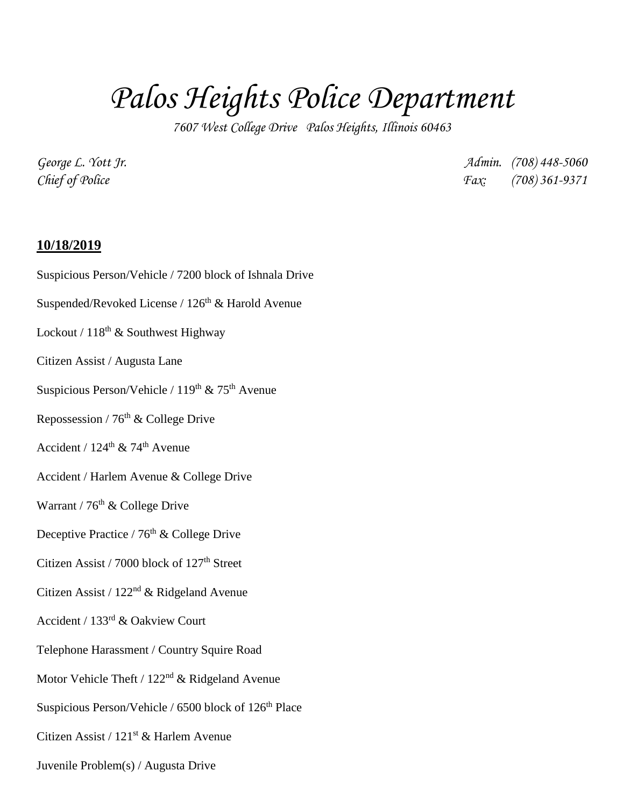## *Palos Heights Police Department*

*7607 West College Drive Palos Heights, Illinois 60463*

*George L. Yott Jr. Admin. (708) 448-5060 Chief of Police Fax: (708) 361-9371*

## **10/18/2019**

Suspicious Person/Vehicle / 7200 block of Ishnala Drive Suspended/Revoked License /  $126<sup>th</sup>$  & Harold Avenue Lockout /  $118^{\text{th}}$  & Southwest Highway Citizen Assist / Augusta Lane Suspicious Person/Vehicle /  $119<sup>th</sup>$  &  $75<sup>th</sup>$  Avenue Repossession /  $76<sup>th</sup>$  & College Drive Accident /  $124^{\text{th}}$  &  $74^{\text{th}}$  Avenue Accident / Harlem Avenue & College Drive Warrant /  $76<sup>th</sup>$  & College Drive Deceptive Practice /  $76^{\rm th}$  & College Drive Citizen Assist / 7000 block of  $127<sup>th</sup>$  Street Citizen Assist / 122nd & Ridgeland Avenue Accident / 133rd & Oakview Court Telephone Harassment / Country Squire Road Motor Vehicle Theft / 122<sup>nd</sup> & Ridgeland Avenue Suspicious Person/Vehicle / 6500 block of  $126^{\rm th}$  Place Citizen Assist / 121st & Harlem Avenue Juvenile Problem(s) / Augusta Drive